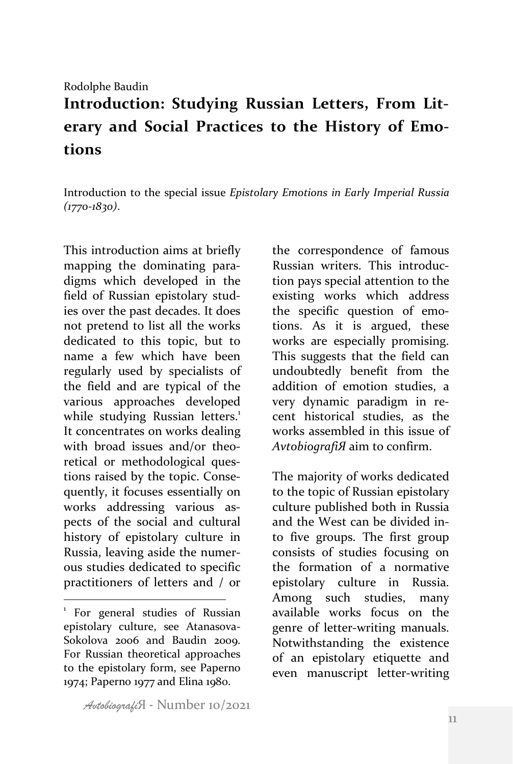## Rodolphe Baudin

## Introduction: Studying Russian Letters, From Literary and Social Practices to the History of Emo**tions**

Introduction to the special issue *Epistolary Emotions in Early Imperial Russia (1770-1830)*.

This introduction aims at briefly mapping the dominating paradigms which developed in the field of Russian epistolary studies over the past decades. It does not pretend to list all the works dedicated to this topic, but to name a few which have been regularly used by specialists of the field and are typical of the various approaches developed while studying Russian letters.<sup>1</sup> It concentrates on works dealing with broad issues and/or theoretical or methodological questions raised by the topic. Consequently, it focuses essentially on works addressing various aspects of the social and cultural history of epistolary culture in Russia, leaving aside the numerous studies dedicated to specific practitioners of letters and / or

 

the correspondence of famous Russian writers. This introduction pays special attention to the existing works which address the specific question of emotions. As it is argued, these works are especially promising. This suggests that the field can undoubtedly benefit from the addition of emotion studies, a very dynamic paradigm in recent historical studies, as the works assembled in this issue of AvtobiografiЯ aim to confirm.

The majority of works dedicated to the topic of Russian epistolary culture published both in Russia and the West can be divided into five groups. The first group consists of studies focusing on the formation of a normative epistolary culture in Russia. Among such studies, many available works focus on the genre of letter-writing manuals. Notwithstanding the existence of an epistolary etiquette and even manuscript letter-writing

*Avtobiografi*Я - Number 10/2021

For general studies of Russian epistolary culture, see Atanasova-Sokolova 2006 and Baudin 2009. For Russian theoretical approaches to the epistolary form, see Paperno 1974; Paperno 1977 and Elina 1980.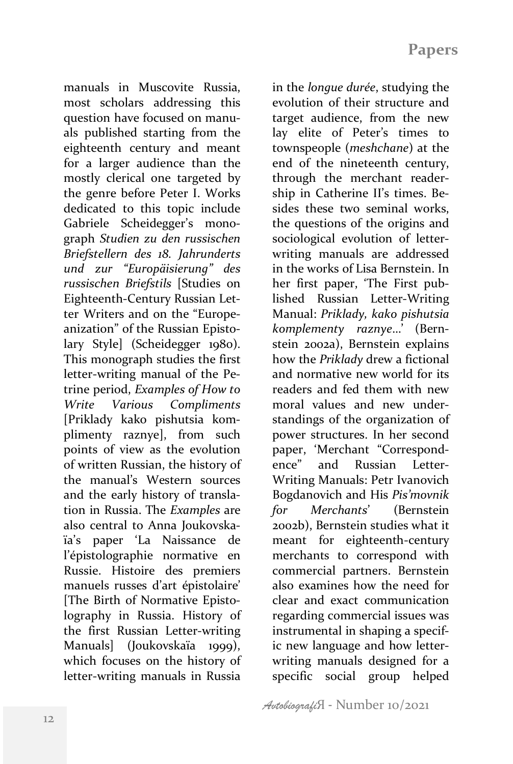manuals in Muscovite Russia, most scholars addressing this question have focused on manuals published starting from the eighteenth century and meant for a larger audience than the mostly clerical one targeted by the genre before Peter I. Works dedicated to this topic include Gabriele Scheidegger's monograph *Studien zu den russischen Briefstellern des 18. Jahrunderts und zur "Europäisierung" des russischen Briefstils* [Studies on Eighteenth-Century Russian Letter Writers and on the "Europeanization" of the Russian Epistolary Stylel (Scheidegger 1980). This monograph studies the first letter-writing manual of the Petrine period, *Examples* of How to *Write Various Compliments* [Priklady kako pishutsia komplimenty raznye], from such points of view as the evolution of written Russian, the history of the manual's Western sources and the early history of translation in Russia. The *Examples* are also central to Anna Joukovskaïa's paper 'La Naissance de l'épistolographie normative en Russie. Histoire des premiers manuels russes d'art épistolaire' [The Birth of Normative Epistolography in Russia. History of the first Russian Letter-writing Manuals (Joukovskaïa 1999), which focuses on the history of letter-writing manuals in Russia

in the *lonque durée*, studying the evolution of their structure and target audience, from the new lay elite of Peter's times to townspeople (*meshchane*) at the end of the nineteenth century, through the merchant readership in Catherine II's times. Besides these two seminal works. the questions of the origins and sociological evolution of letterwriting manuals are addressed in the works of Lisa Bernstein. In her first paper, 'The First published Russian Letter-Writing Manual: *Priklady, kako pishutsia komplementy raznye*…' (Bernstein 2002a), Bernstein explains how the *Priklady* drew a fictional and normative new world for its readers and fed them with new moral values and new understandings of the organization of power structures. In her second paper, 'Merchant "Correspondence" and Russian Letter-Writing Manuals: Petr Ivanovich Bogdanovich and His *Pis'movnik for Merchants*' (Bernstein 2002b). Bernstein studies what it meant for eighteenth-century merchants to correspond with commercial partners. Bernstein also examines how the need for clear and exact communication regarding commercial issues was instrumental in shaping a specific new language and how letterwriting manuals designed for a specific social group helped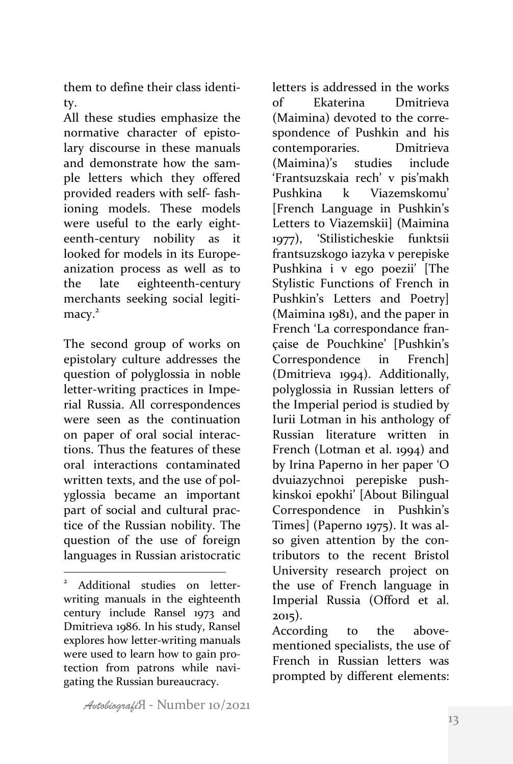them to define their class identity.

All these studies emphasize the normative character of epistolary discourse in these manuals and demonstrate how the sample letters which they offered provided readers with self- fashioning models. These models were useful to the early eighteenth-century nobility as it looked for models in its Europeanization process as well as to the late eighteenth-century merchants seeking social legiti $macv<sup>2</sup>$ 

The second group of works on epistolary culture addresses the question of polyglossia in noble letter-writing practices in Imperial Russia. All correspondences were seen as the continuation on paper of oral social interactions. Thus the features of these oral interactions contaminated written texts, and the use of polyglossia became an important part of social and cultural practice of the Russian nobility. The question of the use of foreign languages in Russian aristocratic

 

letters is addressed in the works of Ekaterina Dmitrieva (Maimina) devoted to the correspondence of Pushkin and his contemporaries. Dmitrieva (Maimina)'s studies include 'Frantsuzskaia rech' v pis'makh Pushkina k Viazemskomu' [French Language in Pushkin's Letters to Viazemskii] (Maimina 1977), 'Stilisticheskie funktsii frantsuzskogo iazyka v perepiske Pushkina i v ego poezii' [The Stylistic Functions of French in Pushkin's Letters and Poetry]  $(Maimina 1981)$ , and the paper in French 'La correspondance française de Pouchkine' [Pushkin's Correspondence in French] (Dmitrieva 1994). Additionally, polyglossia in Russian letters of the Imperial period is studied by Iurii Lotman in his anthology of Russian literature written in French (Lotman et al. 1994) and by Irina Paperno in her paper 'O dvuiazychnoi perepiske pushkinskoi epokhi' [About Bilingual Correspondence in Pushkin's Times] (Paperno 1975). It was also given attention by the contributors to the recent Bristol University research project on the use of French language in Imperial Russia (Offord et al. 2015).

According to the abovementioned specialists, the use of French in Russian letters was prompted by different elements:

Additional studies on letterwriting manuals in the eighteenth century include Ransel 1973 and Dmitrieva 1986. In his study, Ransel explores how letter-writing manuals were used to learn how to gain protection from patrons while navigating the Russian bureaucracy.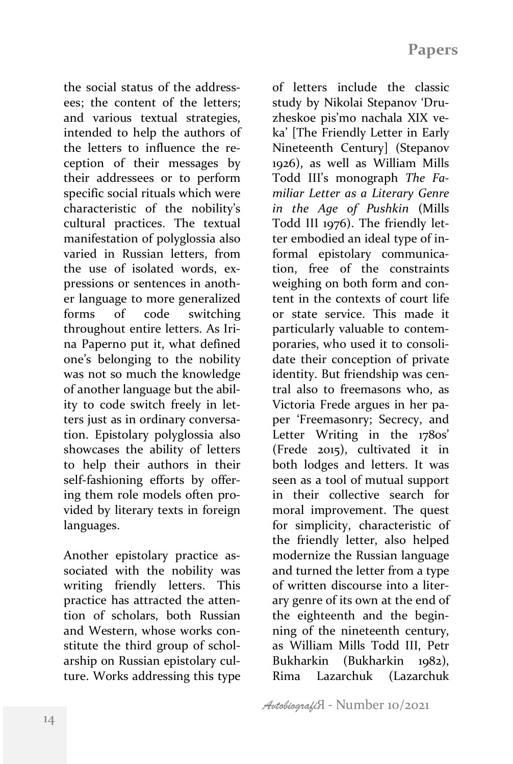the social status of the addressees; the content of the letters; and various textual strategies, intended to help the authors of the letters to influence the reception of their messages by their addressees or to perform specific social rituals which were characteristic of the nobility's cultural practices. The textual manifestation of polyglossia also varied in Russian letters, from the use of isolated words, expressions or sentences in another language to more generalized forms of code switching throughout entire letters. As Irina Paperno put it, what defined one's belonging to the nobility was not so much the knowledge of another language but the ability to code switch freely in letters just as in ordinary conversation. Epistolary polyglossia also showcases the ability of letters to help their authors in their self-fashioning efforts by offering them role models often provided by literary texts in foreign languages. 

Another epistolary practice associated with the nobility was writing friendly letters. This practice has attracted the attention of scholars, both Russian and Western, whose works constitute the third group of scholarship on Russian epistolary culture. Works addressing this type study by Nikolai Stepanov 'Druzheskoe pis'mo nachala XIX veka' [The Friendly Letter in Early Nineteenth Century] (Stepanov 1926), as well as William Mills Todd III's monograph *The Familiar Letter as a Literary Genre in the Age of Pushkin* (Mills Todd III 1976). The friendly letter embodied an ideal type of informal epistolary communication, free of the constraints weighing on both form and content in the contexts of court life or state service. This made it particularly valuable to contemporaries, who used it to consolidate their conception of private identity. But friendship was central also to freemasons who, as Victoria Frede argues in her paper 'Freemasonry; Secrecy, and Letter Writing in the 1780s' (Frede 2015), cultivated it in both lodges and letters. It was seen as a tool of mutual support in their collective search for moral improvement. The quest for simplicity, characteristic of the friendly letter, also helped modernize the Russian language and turned the letter from a type of written discourse into a literary genre of its own at the end of the eighteenth and the beginning of the nineteenth century, as William Mills Todd III, Petr Bukharkin (Bukharkin 1982), Rima Lazarchuk (Lazarchuk 

of letters include the classic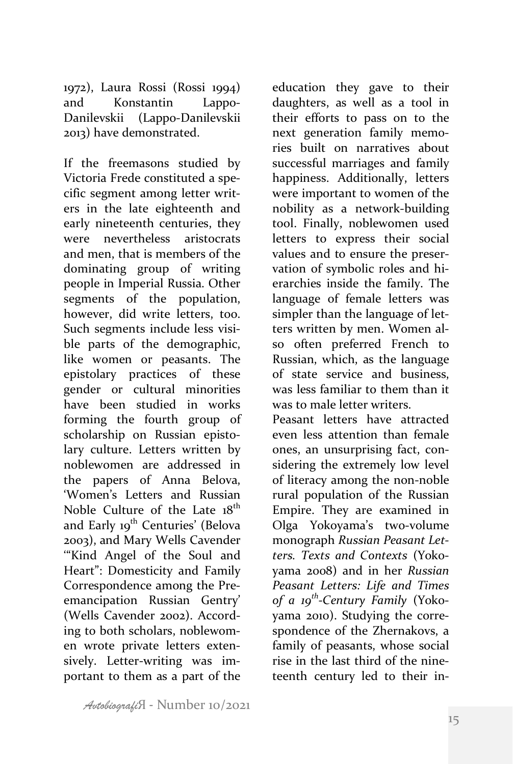1972), Laura Rossi (Rossi 1994) and Konstantin Lappo-Danilevskii (Lappo-Danilevskii 2013) have demonstrated.

If the freemasons studied by Victoria Frede constituted a specific segment among letter writers in the late eighteenth and early nineteenth centuries, they were nevertheless aristocrats and men, that is members of the dominating group of writing people in Imperial Russia. Other segments of the population, however, did write letters, too. Such segments include less visible parts of the demographic. like women or peasants. The epistolary practices of these gender or cultural minorities have been studied in works forming the fourth group of scholarship on Russian epistolary culture. Letters written by noblewomen are addressed in the papers of Anna Belova, 'Women's Letters and Russian Noble Culture of the Late  $18^{th}$ and Early 19<sup>th</sup> Centuries' (Belova 2003), and Mary Wells Cavender '"Kind Angel of the Soul and Heart": Domesticity and Family Correspondence among the Preemancipation Russian Gentry' (Wells Cavender 2002). According to both scholars, noblewomen wrote private letters extensively. Letter-writing was important to them as a part of the

education they gave to their daughters, as well as a tool in their efforts to pass on to the next generation family memories built on narratives about successful marriages and family happiness. Additionally, letters were important to women of the nobility as a network-building tool. Finally, noblewomen used letters to express their social values and to ensure the preservation of symbolic roles and hierarchies inside the family. The language of female letters was simpler than the language of letters written by men. Women also often preferred French to Russian, which, as the language of state service and business, was less familiar to them than it was to male letter writers.

Peasant letters have attracted even less attention than female ones, an unsurprising fact, considering the extremely low level of literacy among the non-noble rural population of the Russian Empire. They are examined in Olga Yokoyama's two-volume monograph *Russian Peasant Letters. Texts and Contexts* (Yokoyama 2008) and in her *Russian Peasant Letters: Life and Times of a 19th-Century Family* (Yokoyama 2010). Studying the correspondence of the Zhernakovs, a family of peasants, whose social rise in the last third of the nineteenth century led to their in-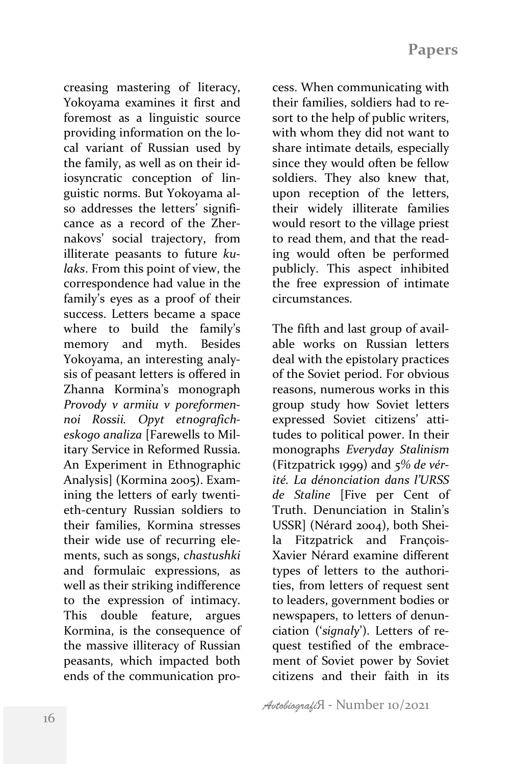creasing mastering of literacy, Yokoyama examines it first and foremost as a linguistic source providing information on the local variant of Russian used by the family, as well as on their idiosyncratic conception of linguistic norms. But Yokoyama also addresses the letters' significance as a record of the Zhernakovs' social trajectory, from illiterate peasants to future *kulaks*. From this point of view, the correspondence had value in the family's eyes as a proof of their success. Letters became a space where to build the family's memory and myth. Besides Yokoyama, an interesting analysis of peasant letters is offered in Zhanna Kormina's monograph *Provody v armiiu v poreformennoi Rossii. Opyt etnograficheskogo analiza* [Farewells to Military Service in Reformed Russia. An Experiment in Ethnographic Analysis] (Kormina 2005). Examining the letters of early twentieth-century Russian soldiers to their families, Kormina stresses their wide use of recurring elements, such as songs, *chastushki* and formulaic expressions, as well as their striking indifference to the expression of intimacy. This double feature, argues Kormina, is the consequence of the massive illiteracy of Russian peasants, which impacted both ends of the communication process. When communicating with their families, soldiers had to resort to the help of public writers, with whom they did not want to share intimate details, especially since they would often be fellow soldiers. They also knew that, upon reception of the letters, their widely illiterate families would resort to the village priest to read them, and that the reading would often be performed publicly. This aspect inhibited the free expression of intimate circumstances.

The fifth and last group of available works on Russian letters deal with the epistolary practices of the Soviet period. For obvious reasons, numerous works in this group study how Soviet letters expressed Soviet citizens' attitudes to political power. In their monographs *Everyday Stalinism* (Fitzpatrick 1999) and *5% de vérité. La dénonciation dans l'URSS*  de Staline [Five per Cent of Truth. Denunciation in Stalin's USSR] (Nérard 2004), both Sheila Fitzpatrick and Francois-Xavier Nérard examine different types of letters to the authorities, from letters of request sent to leaders, government bodies or newspapers, to letters of denunciation ('signaly'). Letters of request testified of the embracement of Soviet power by Soviet citizens and their faith in its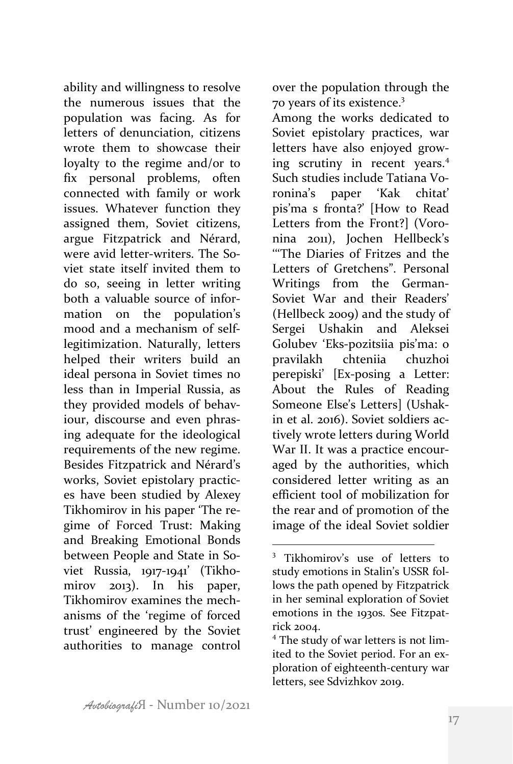ability and willingness to resolve the numerous issues that the population was facing. As for letters of denunciation, citizens wrote them to showcase their loyalty to the regime and/or to fix personal problems, often connected with family or work issues. Whatever function they assigned them, Soviet citizens, argue Fitzpatrick and Nérard, were avid letter-writers. The Soviet state itself invited them to do so, seeing in letter writing both a valuable source of information on the population's mood and a mechanism of selflegitimization. Naturally, letters helped their writers build an ideal persona in Soviet times no less than in Imperial Russia, as they provided models of behaviour, discourse and even phrasing adequate for the ideological requirements of the new regime. Besides Fitzpatrick and Nérard's works, Soviet epistolary practices have been studied by Alexey Tikhomirov in his paper 'The regime of Forced Trust: Making and Breaking Emotional Bonds between People and State in Soviet Russia, 1917-1941' (Tikhomirov 2013). In his paper, Tikhomirov examines the mechanisms of the 'regime of forced trust' engineered by the Soviet authorities to manage control

over the population through the 70 years of its existence.<sup>3</sup>

Among the works dedicated to Soviet epistolary practices, war letters have also enjoyed growing scrutiny in recent years.<sup>4</sup> Such studies include Tatiana Voronina's paper 'Kak chitat' pis'ma s fronta?' [How to Read Letters from the Front?] (Voronina 2011), Jochen Hellbeck's '''The Diaries of Fritzes and the Letters of Gretchens". Personal Writings from the German-Soviet War and their Readers' (Hellbeck 2009) and the study of Sergei Ushakin and Aleksei Golubey 'Eks-pozitsiia pis'ma: o pravilakh chteniia chuzhoi perepiski' [Ex-posing a Letter: About the Rules of Reading Someone Else's Letters] (Ushakin et al. 2016). Soviet soldiers actively wrote letters during World War II. It was a practice encouraged by the authorities, which considered letter writing as an efficient tool of mobilization for the rear and of promotion of the image of the ideal Soviet soldier

 Tikhomirov's use of letters to study emotions in Stalin's USSR follows the path opened by Fitzpatrick in her seminal exploration of Soviet emotions in the 1930s. See Fitzpatrick 2004.

 $4$  The study of war letters is not limited to the Soviet period. For an exploration of eighteenth-century war letters, see Sdvizhkov 2019.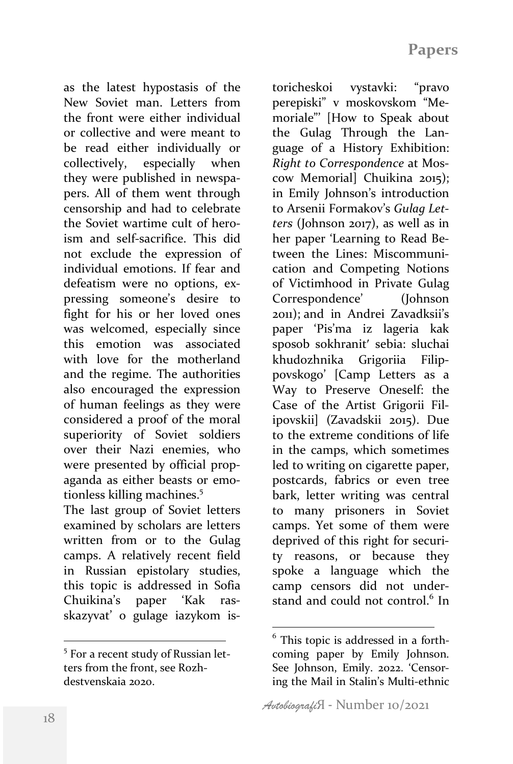as the latest hypostasis of the New Soviet man. Letters from the front were either individual or collective and were meant to be read either individually or collectively, especially when they were published in newspapers. All of them went through censorship and had to celebrate the Soviet wartime cult of heroism and self-sacrifice. This did not exclude the expression of individual emotions. If fear and defeatism were no options, expressing someone's desire to fight for his or her loved ones was welcomed, especially since this emotion was associated with love for the motherland and the regime. The authorities also encouraged the expression of human feelings as they were considered a proof of the moral superiority of Soviet soldiers over their Nazi enemies, who were presented by official propaganda as either beasts or emotionless killing machines.<sup>5</sup>

The last group of Soviet letters examined by scholars are letters written from or to the Gulag camps. A relatively recent field in Russian epistolary studies, this topic is addressed in Sofia Chuikina's paper 'Kak rasskazyvat' o gulage iazykom is-

 

toricheskoi vystavki: "pravo perepiski" v moskovskom "Memoriale"' [How to Speak about the Gulag Through the Language of a History Exhibition: *Right to Correspondence* at Moscow Memorial] Chuikina 2015); in Emily Johnson's introduction to Arsenii Formakov's Gulag Let*ters* (Johnson 2017), as well as in her paper 'Learning to Read Between the Lines: Miscommunication and Competing Notions of Victimhood in Private Gulag Correspondence' (Johnson 2011); and in Andrei Zavadksii's paper 'Pis'ma iz lageria kak sposob sokhranit' sebia: sluchai khudozhnika Grigoriia Filippovskogo' [Camp Letters as a Way to Preserve Oneself: the Case of the Artist Grigorii Filipovskii] (Zavadskii 2015). Due to the extreme conditions of life in the camps, which sometimes led to writing on cigarette paper, postcards, fabrics or even tree bark, letter writing was central to many prisoners in Soviet camps. Yet some of them were deprived of this right for security reasons, or because they spoke a language which the camp censors did not understand and could not control. $6$  In

<sup>&</sup>lt;sup>5</sup> For a recent study of Russian letters from the front, see Rozhdestvenskaja 2020.

 $6$  This topic is addressed in a forthcoming paper by Emily Johnson. See Johnson, Emily. 2022. 'Censoring the Mail in Stalin's Multi-ethnic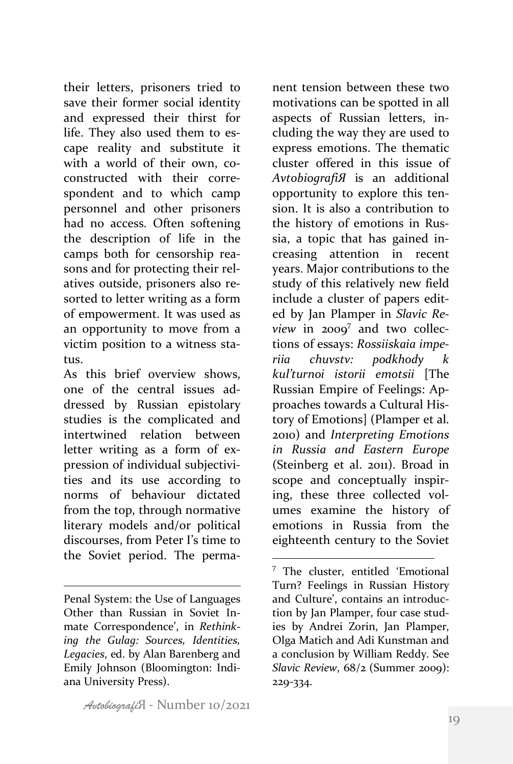their letters, prisoners tried to save their former social identity and expressed their thirst for life. They also used them to escape reality and substitute it with a world of their own, coconstructed with their correspondent and to which camp personnel and other prisoners had no access. Often softening the description of life in the camps both for censorship reasons and for protecting their relatives outside, prisoners also resorted to letter writing as a form of empowerment. It was used as an opportunity to move from a victim position to a witness status. 

As this brief overview shows, one of the central issues addressed by Russian epistolary studies is the complicated and intertwined relation between letter writing as a form of expression of individual subjectivities and its use according to norms of behaviour dictated from the top, through normative literary models and/or political discourses, from Peter I's time to the Soviet period. The perma-

 

nent tension between these two motivations can be spotted in all aspects of Russian letters, including the way they are used to express emotions. The thematic cluster offered in this issue of *AvtobiografiЯ*  is an additional opportunity to explore this tension. It is also a contribution to the history of emotions in Russia, a topic that has gained increasing attention in recent years. Major contributions to the study of this relatively new field include a cluster of papers edited by Jan Plamper in *Slavic Review* in  $2009^7$  and two collections of essays: *Rossiiskaia imperiia chuvstv: podkhody kul'turnoi istorii emotsii*  [The Russian Empire of Feelings: Approaches towards a Cultural History of Emotions] (Plamper et al. 2010) and *Interpreting Emotions in Russia and Eastern Europe* (Steinberg et al. 2011). Broad in scope and conceptually inspiring, these three collected volumes examine the history of emotions in Russia from the eighteenth century to the Soviet

Penal System: the Use of Languages Other than Russian in Soviet Inmate Correspondence', in *Rethink*ing the Gulag: Sources, Identities, Legacies, ed. by Alan Barenberg and Emily Johnson (Bloomington: Indiana University Press). 

 $7$  The cluster, entitled 'Emotional Turn? Feelings in Russian History and Culture', contains an introduction by Jan Plamper, four case studies by Andrei Zorin, Jan Plamper, Olga Matich and Adi Kunstman and a conclusion by William Reddy. See *Slavic Review,*  $68/2$  (Summer 2009): 229-334.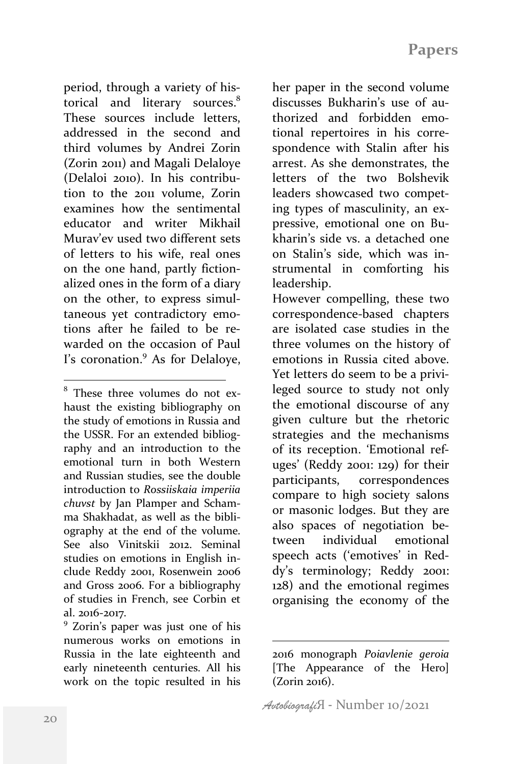period, through a variety of historical and literary sources.<sup>8</sup> These sources include letters, addressed in the second and third volumes by Andrei Zorin (Zorin 2011) and Magali Delaloye (Delaloi 2010). In his contribution to the 2011 volume, Zorin examines how the sentimental educator and writer Mikhail Murav'ev used two different sets of letters to his wife, real ones on the one hand, partly fictionalized ones in the form of a diary on the other, to express simultaneous yet contradictory emotions after he failed to be rewarded on the occasion of Paul I's coronation. $9$  As for Delaloye,

 

numerous works on emotions in Russia in the late eighteenth and early nineteenth centuries. All his work on the topic resulted in his

her paper in the second volume discusses Bukharin's use of authorized and forbidden emotional repertoires in his correspondence with Stalin after his arrest. As she demonstrates, the letters of the two Bolshevik leaders showcased two competing types of masculinity, an expressive, emotional one on Bukharin's side vs. a detached one on Stalin's side, which was instrumental in comforting his leadership. 

However compelling, these two correspondence-based chapters are isolated case studies in the three volumes on the history of emotions in Russia cited above. Yet letters do seem to be a privileged source to study not only the emotional discourse of any given culture but the rhetoric strategies and the mechanisms of its reception. 'Emotional refuges' (Reddy 2001:  $129$ ) for their participants, correspondences compare to high society salons or masonic lodges. But they are also spaces of negotiation between individual emotional speech acts ('emotives' in Reddy's terminology; Reddy 2001: 128) and the emotional regimes organising the economy of the

 $8$  These three volumes do not exhaust the existing bibliography on the study of emotions in Russia and the USSR. For an extended bibliography and an introduction to the emotional turn in both Western and Russian studies, see the double introduction to *Rossiiskaia imperiia chuvst* by Jan Plamper and Schamma Shakhadat, as well as the bibliography at the end of the volume. See also Vinitskii 2012. Seminal studies on emotions in English include Reddy 2001, Rosenwein 2006 and Gross 2006. For a bibliography of studies in French, see Corbin et al. 2016-2017.<br><sup>9</sup> Zorin's paper was just one of his

<sup>2016</sup> monograph *Poiavlenie geroia* [The Appearance of the Hero]  $(Zorin 2016)$ .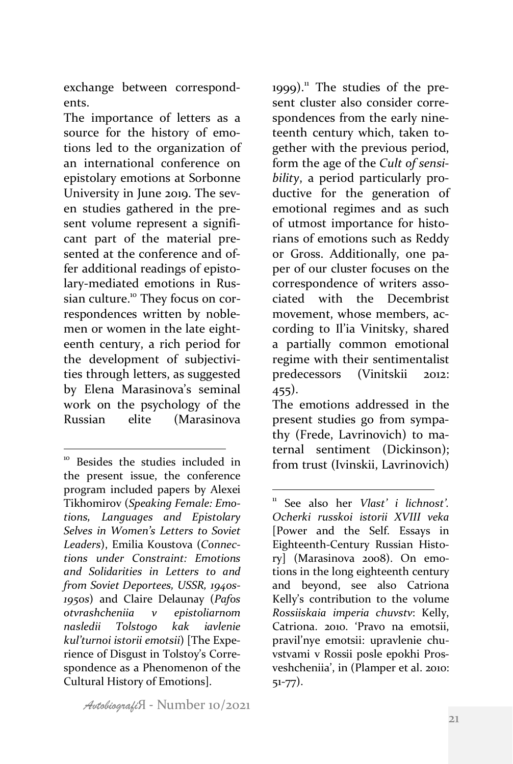exchange between correspondents. 

The importance of letters as a source for the history of emotions led to the organization of an international conference on epistolary emotions at Sorbonne University in June 2019. The seven studies gathered in the present volume represent a significant part of the material presented at the conference and offer additional readings of epistolary-mediated emotions in Russian culture.<sup>10</sup> They focus on correspondences written by noblemen or women in the late eighteenth century, a rich period for the development of subjectivities through letters, as suggested by Elena Marasinova's seminal work on the psychology of the Russian elite (Marasinova 

1999). $<sup>11</sup>$  The studies of the pre-</sup> sent cluster also consider correspondences from the early nineteenth century which, taken together with the previous period, form the age of the *Cult of sensi*bility, a period particularly productive for the generation of emotional regimes and as such of utmost importance for historians of emotions such as Reddy or Gross. Additionally, one paper of our cluster focuses on the correspondence of writers associated with the Decembrist movement, whose members, according to Il'ia Vinitsky, shared a partially common emotional regime with their sentimentalist predecessors (Vinitskii 2012: 455).

The emotions addressed in the present studies go from sympathy (Frede, Lavrinovich) to maternal sentiment (Dickinson); from trust (Ivinskii, Lavrinovich)

 <sup>10</sup> Besides the studies included in the present issue, the conference program included papers by Alexei Tikhomirov (Speaking Female: Emo*tions, Languages and Epistolary Selves in Women's Letters to Soviet Leaders*), Emilia Koustova (*Connections under Constraint: Emotions and Solidarities in Letters to and from Soviet Deportees, USSR, 1940s-1950s*) and Claire Delaunay (*Pafos otvrashcheniia v epistoliarnom nasledii Tolstogo kak iavlenie kul'turnoi istorii emotsii*) [The Experience of Disgust in Tolstoy's Correspondence as a Phenomenon of the Cultural History of Emotions].

 See also her *Vlast' i lichnost'*. *Ocherki russkoi istorii XVIII veka* [Power and the Self. Essays in Eighteenth-Century Russian History] (Marasinova 2008). On emotions in the long eighteenth century and beyond, see also Catriona Kelly's contribution to the volume *Rossiiskaia imperia chuvstv*: Kelly, Catriona. 2010. 'Pravo na emotsii, pravil'nye emotsii: upravlenie chuvstvami v Rossii posle epokhi Prosveshcheniia', in (Plamper et al. 2010: 51-77).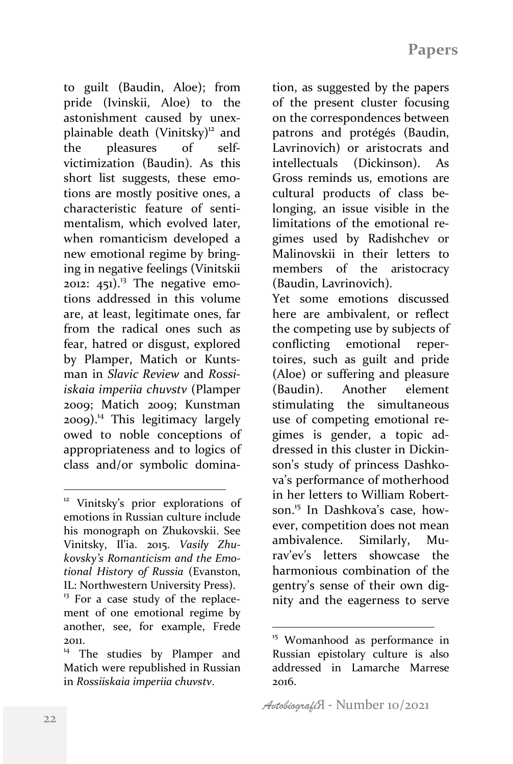to guilt (Baudin, Aloe); from pride (Ivinskii, Aloe) to the astonishment caused by unexplainable death  $(Vinitsky)^{12}$  and the pleasures of selfvictimization (Baudin). As this short list suggests, these emotions are mostly positive ones, a characteristic feature of sentimentalism, which evolved later, when romanticism developed a new emotional regime by bringing in negative feelings (Vinitskii 2012:  $451$ .<sup>13</sup> The negative emotions addressed in this volume are, at least, legitimate ones, far from the radical ones such as fear, hatred or disgust, explored by Plamper, Matich or Kuntsman in *Slavic Review* and *Rossiiskaia imperiia chuvstv* (Plamper 2009; Matich 2009; Kunstman  $2009$ <sup>14</sup> This legitimacy largely owed to noble conceptions of appropriateness and to logics of class and/or symbolic domina-

 

tion, as suggested by the papers of the present cluster focusing on the correspondences between patrons and protégés (Baudin, Lavrinovich) or aristocrats and intellectuals (Dickinson). As Gross reminds us, emotions are cultural products of class belonging, an issue visible in the limitations of the emotional regimes used by Radishchev or Malinovskii in their letters to members of the aristocracy (Baudin, Lavrinovich). Yet some emotions discussed here are ambivalent, or reflect the competing use by subjects of conflicting emotional repertoires, such as guilt and pride (Aloe) or suffering and pleasure (Baudin). Another element stimulating the simultaneous use of competing emotional regimes is gender, a topic addressed in this cluster in Dickinson's study of princess Dashkova's performance of motherhood in her letters to William Robertson.<sup>15</sup> In Dashkova's case, however, competition does not mean ambivalence. Similarly, Mu-

rav'ev's letters showcase the harmonious combination of the gentry's sense of their own dignity and the eagerness to serve

<sup>&</sup>lt;sup>12</sup> Vinitsky's prior explorations of emotions in Russian culture include his monograph on Zhukovskii. See Vinitsky, Il'ia. 2015. *Vasily Zhu*kovsky's Romanticism and the Emo*tional History of Russia* (Evanston, IL: Northwestern University Press).

 $13$  For a case study of the replacement of one emotional regime by another, see, for example, Frede 2011.

The studies by Plamper and Matich were republished in Russian in *Rossiiskaia imperiia chuvstv*.

<sup>&</sup>lt;sup>15</sup> Womanhood as performance in Russian epistolary culture is also addressed in Lamarche Marrese 2016.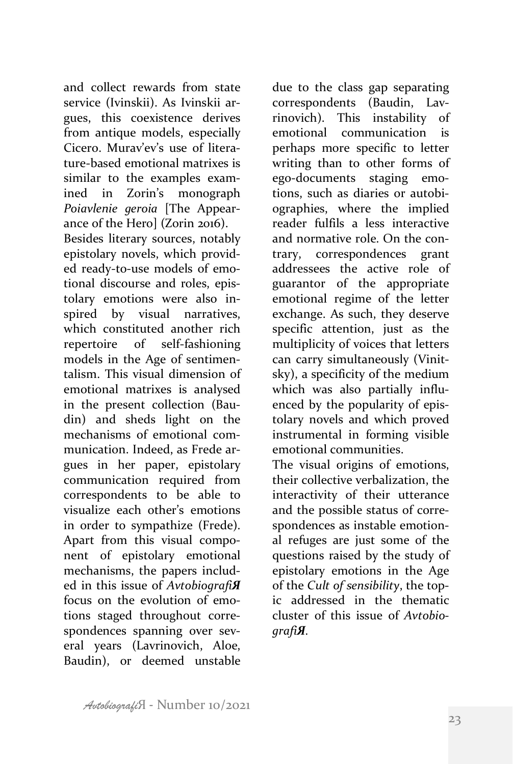and collect rewards from state service (Ivinskii). As Ivinskii argues, this coexistence derives from antique models, especially Cicero. Murav'ev's use of literature-based emotional matrixes is similar to the examples examined in Zorin's monograph *Poiavlenie geroia*  [The Appearance of the Herol (Zorin 2016).

Besides literary sources, notably epistolary novels, which provided ready-to-use models of emotional discourse and roles, epistolary emotions were also inspired by visual narratives, which constituted another rich repertoire of self-fashioning models in the Age of sentimentalism. This visual dimension of emotional matrixes is analysed in the present collection (Baudin) and sheds light on the mechanisms of emotional communication. Indeed, as Frede argues in her paper, epistolary communication required from correspondents to be able to visualize each other's emotions in order to sympathize (Frede). Apart from this visual component of epistolary emotional mechanisms, the papers included in this issue of *AvtobiografiЯ* focus on the evolution of emotions staged throughout correspondences spanning over several years (Lavrinovich, Aloe, Baudin), or deemed unstable

due to the class gap separating correspondents (Baudin, Lavrinovich). This instability of emotional communication is perhaps more specific to letter writing than to other forms of ego-documents staging emotions, such as diaries or autobiographies, where the implied reader fulfils a less interactive and normative role. On the contrary, correspondences grant addressees the active role of guarantor of the appropriate emotional regime of the letter exchange. As such, they deserve specific attention, just as the multiplicity of voices that letters can carry simultaneously (Vinitsky), a specificity of the medium which was also partially influenced by the popularity of epistolary novels and which proved instrumental in forming visible emotional communities.

The visual origins of emotions, their collective verbalization, the interactivity of their utterance and the possible status of correspondences as instable emotional refuges are just some of the questions raised by the study of epistolary emotions in the Age of the *Cult of sensibility*, the topic addressed in the thematic cluster of this issue of *AvtobiografiЯ.*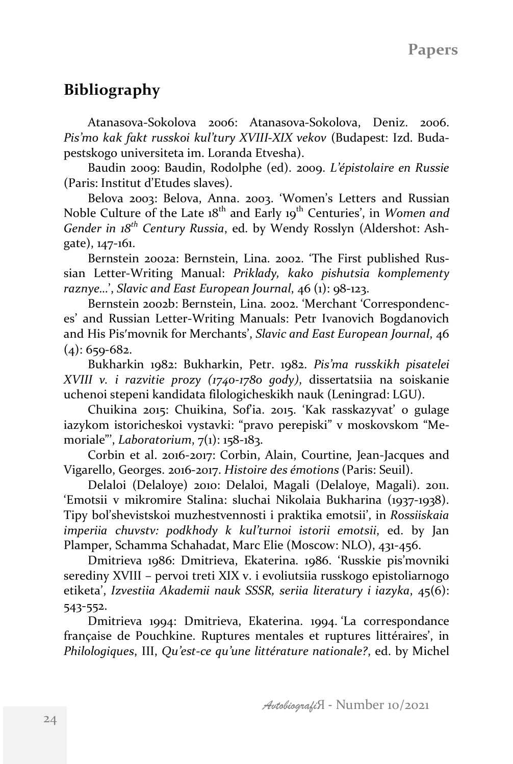## **Bibliography**

Atanasova-Sokolova 2006: Atanasova-Sokolova, Deniz. 2006. Pis'mo kak fakt russkoi kul'tury XVIII-XIX vekov (Budapest: Izd. Budapestskogo universiteta im. Loranda Etvesha).

Baudin 2009: Baudin, Rodolphe (ed). 2009. *L'épistolaire en Russie* (Paris: Institut d'Etudes slaves).

Belova 2003: Belova, Anna. 2003. 'Women's Letters and Russian Noble Culture of the Late 18<sup>th</sup> and Early 19<sup>th</sup> Centuries', in *Women and Gender in 18<sup>th</sup> Century Russia*, ed. by Wendy Rosslyn (Aldershot: Ashgate), 147-161.

Bernstein 2002a: Bernstein, Lina. 2002. 'The First published Russian Letter-Writing Manual: Priklady, kako pishutsia komplementy raznye...<sup>'</sup>, *Slavic and East European Journal*, 46 (1): 98-123.

Bernstein 2002b: Bernstein, Lina. 2002. 'Merchant 'Correspondences' and Russian Letter-Writing Manuals: Petr Ivanovich Bogdanovich and His Pis'movnik for Merchants', *Slavic and East European Journal*, 46  $(4): 659-682.$ 

Bukharkin 1982: Bukharkin, Petr. 1982. *Pis'ma russkikh pisatelei XVIII v. i razvitie prozy (1740-1780 gody)*, dissertatsiia na soiskanie uchenoi stepeni kandidata filologicheskikh nauk (Leningrad: LGU).

Chuikina 2015: Chuikina, Sofia. 2015. 'Kak rasskazyvat' o gulage iazykom istoricheskoi vystavki: "pravo perepiski" v moskovskom "Memoriale"', *Laboratorium*,  $7(1)$ : 158-183.

Corbin et al. 2016-2017: Corbin, Alain, Courtine, Jean-Jacques and Vigarello, Georges. 2016-2017. *Histoire des émotions* (Paris: Seuil).

Delaloi (Delaloye) 2010: Delaloi, Magali (Delaloye, Magali). 2011. 'Emotsii v mikromire Stalina: sluchai Nikolaia Bukharina (1937-1938). Tipy bol'shevistskoi muzhestvennosti i praktika emotsii', in *Rossiiskaia imperiia chuvstv:* podkhody *k* kul'turnoi *istorii* emotsii, ed. by Jan Plamper, Schamma Schahadat, Marc Elie (Moscow: NLO), 431-456.

Dmitrieva 1986: Dmitrieva, Ekaterina. 1986. 'Russkie pis'movniki serediny XVIII - pervoi treti XIX v. i evoliutsiia russkogo epistoliarnogo etiketa', *Izvestiia Akademii nauk SSSR, seriia literatury i iazyka*, 45(6): 543-552.

Dmitrieva 1994: Dmitrieva, Ekaterina. 1994. 'La correspondance française de Pouchkine. Ruptures mentales et ruptures littéraires', in *Philologiques*, III, Qu'est-ce qu'une littérature nationale?, ed. by Michel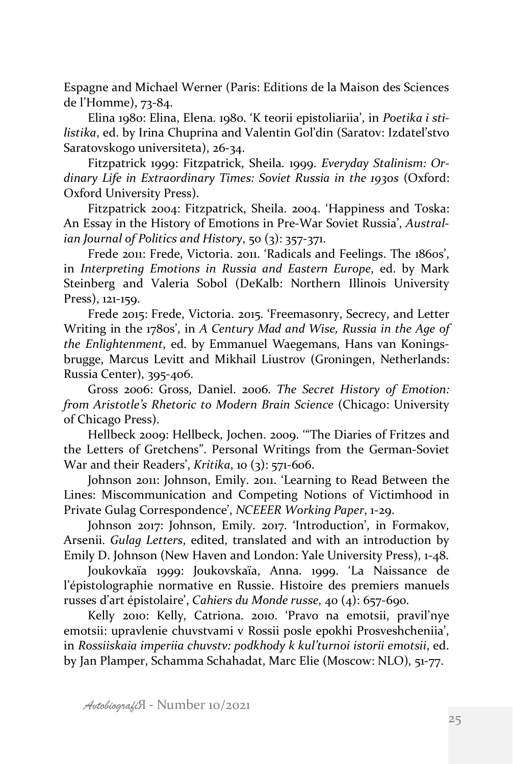Espagne and Michael Werner (Paris: Editions de la Maison des Sciences de l'Homme), 73-84.

Elina 1980: Elina, Elena. 1980. 'K teorii epistoliariia', in *Poetika i sti*listika, ed. by Irina Chuprina and Valentin Gol'din (Saratov: Izdatel'stvo Saratovskogo universiteta), 26-34.

Fitzpatrick 1999: Fitzpatrick, Sheila. 1999. *Everyday Stalinism: Or*dinary Life in Extraordinary Times: Soviet Russia in the 1930s (Oxford: Oxford University Press).

Fitzpatrick 2004: Fitzpatrick, Sheila. 2004. 'Happiness and Toska: An Essay in the History of Emotions in Pre-War Soviet Russia', *Australian Journal of Politics and History*, 50 (3): 357-371.

Frede 2011: Frede, Victoria. 2011. 'Radicals and Feelings. The 1860s', in *Interpreting Emotions in Russia and Eastern Europe*, ed. by Mark Steinberg and Valeria Sobol (DeKalb: Northern Illinois University Press), 121-159.

Frede 2015: Frede, Victoria. 2015. 'Freemasonry, Secrecy, and Letter Writing in the 1780s', in *A Century Mad and Wise, Russia in the Age of the Enlightenment*, ed. by Emmanuel Waegemans, Hans van Koningsbrugge, Marcus Levitt and Mikhail Liustrov (Groningen, Netherlands: Russia Center), 395-406.

Gross 2006: Gross, Daniel. 2006. *The Secret History of Emotion: from Aristotle's Rhetoric to Modern Brain Science* (Chicago: University of Chicago Press).

Hellbeck 2009: Hellbeck, Jochen. 2009. "The Diaries of Fritzes and the Letters of Gretchens". Personal Writings from the German-Soviet War and their Readers', *Kritika*, 10 (3): 571-606.

Johnson 2011: Johnson, Emily. 2011. 'Learning to Read Between the Lines: Miscommunication and Competing Notions of Victimhood in Private Gulag Correspondence', *NCEEER Working Paper*, 1-29.

Johnson 2017: Johnson, Emily. 2017. 'Introduction', in Formakov, Arsenii. *Gulag Letters*, edited, translated and with an introduction by Emily D. Johnson (New Haven and London: Yale University Press), 1-48.

Joukovkaïa 1999: Joukovskaïa, Anna. 1999. 'La Naissance de l'épistolographie normative en Russie. Histoire des premiers manuels russes d'art épistolaire', *Cahiers du Monde russe*, 40 (4): 657-690.

Kelly 2010: Kelly, Catriona. 2010. 'Pravo na emotsii, pravil'nye emotsii: upravlenie chuvstvami v Rossii posle epokhi Prosveshcheniia', in *Rossiiskaia imperiia chuvstv: podkhody k kul'turnoi istorii emotsii, ed.* by Jan Plamper, Schamma Schahadat, Marc Elie (Moscow: NLO), 51-77.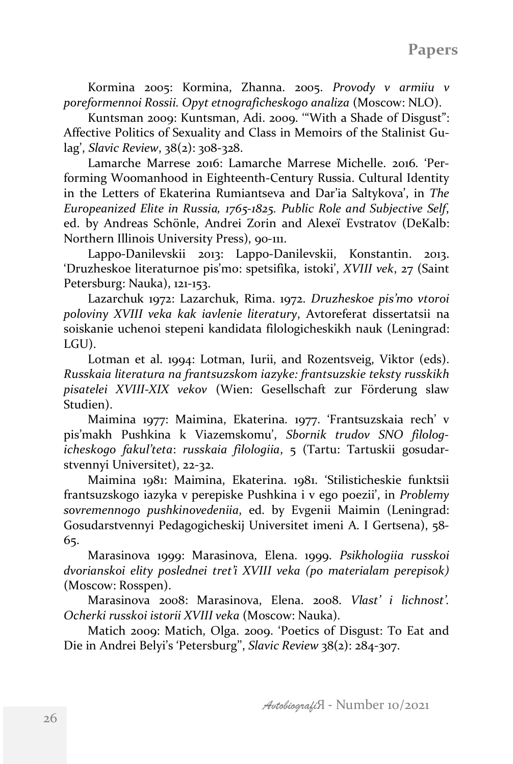Kormina 2005: Kormina, Zhanna. 2005. *Provody v armiiu v poreformennoi Rossii. Opyt etnograficheskogo analiza* (Moscow: NLO).

Kuntsman 2009: Kuntsman, Adi. 2009. "With a Shade of Disgust": Affective Politics of Sexuality and Class in Memoirs of the Stalinist Gulag', *Slavic Review*, 38(2): 308-328.

Lamarche Marrese 2016: Lamarche Marrese Michelle. 2016. 'Performing Woomanhood in Eighteenth-Century Russia. Cultural Identity in the Letters of Ekaterina Rumiantseva and Dar'ia Saltykova', in *The Europeanized Elite in Russia, 1765-1825. Public Role and Subjective Self*, ed. by Andreas Schönle, Andrei Zorin and Alexeï Evstratov (DeKalb: Northern Illinois University Press), 90-111.

Lappo-Danilevskii 2013: Lappo-Danilevskii, Konstantin. 2013. 'Druzheskoe literaturnoe pis'mo: spetsifika, istoki', *XVIII vek*, 27 (Saint Petersburg: Nauka), 121-153.

Lazarchuk 1972: Lazarchuk, Rima. 1972. *Druzheskoe pis'mo vtoroi poloviny XVIII veka kak iavlenie literatury*, Avtoreferat dissertatsii na soiskanie uchenoi stepeni kandidata filologicheskikh nauk (Leningrad: LGU). 

Lotman et al. 1994: Lotman, Iurii, and Rozentsveig, Viktor (eds). *Russkaia literatura na frantsuzskom iazyke: frantsuzskie teksty russkikh pisatelei XVIII-XIX vekov* (Wien: Gesellschaft zur Förderung slaw Studien).

Maimina 1977: Maimina, Ekaterina. 1977. 'Frantsuzskaia rech' v pis'makh Pushkina k Viazemskomu', *Sbornik trudov SNO filologicheskogo fakul'teta*: *russkaia filologiia*, 5 (Tartu: Tartuskii gosudarstvennyi Universitet), 22-32.

Maimina 1981: Maimina, Ekaterina. 1981. 'Stilisticheskie funktsii frantsuzskogo iazyka v perepiske Pushkina i v ego poezii', in *Problemy sovremennogo pushkinovedeniia*, ed. by Evgenii Maimin (Leningrad: Gosudarstvennyi Pedagogicheskij Universitet imeni A. I Gertsena), 58-65. 

Marasinova 1999: Marasinova, Elena. 1999. Psikhologiia russkoi *dvorianskoi elity poslednei tret'i XVIII veka (po materialam perepisok)* (Moscow: Rosspen).

Marasinova 2008: Marasinova, Elena. 2008. *Vlast' i lichnost'*. *Ocherki russkoi istorii XVIII veka* (Moscow: Nauka).

Matich 2009: Matich, Olga. 2009. 'Poetics of Disgust: To Eat and Die in Andrei Belyi's 'Petersburg'', *Slavic Review* 38(2): 284-307.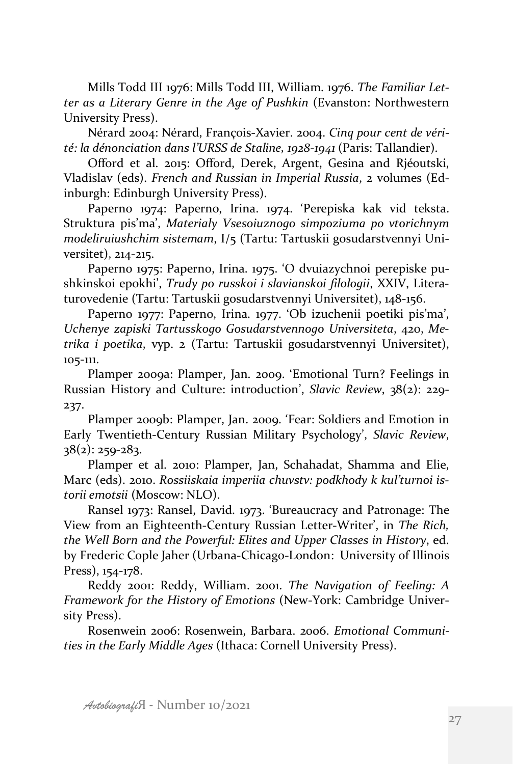Mills Todd III 1976: Mills Todd III, William. 1976. The Familiar Let*ter as a Literary Genre in the Age of Pushkin* (Evanston: Northwestern University Press).

Nérard 2004: Nérard, François-Xavier. 2004. *Cinq pour cent de vérité: la dénonciation dans l'URSS de Staline, 1928-1941* (Paris: Tallandier).

Offord et al. 2015: Offord, Derek, Argent, Gesina and Rjéoutski, Vladislav (eds). *French and Russian in Imperial Russia*, 2 volumes (Edinburgh: Edinburgh University Press).

Paperno 1974: Paperno, Irina. 1974. 'Perepiska kak vid teksta. Struktura pis'ma', Materialy Vsesoiuznogo simpoziuma po vtorichnym *modeliruiushchim sistemam*, I/5 (Tartu: Tartuskii gosudarstvennyi Universitet), 214-215.

Paperno 1975: Paperno, Irina. 1975. 'O dvuiazychnoi perepiske pushkinskoi epokhi', *Trudy po russkoi i slavianskoi filologii*, XXIV, Literaturovedenie (Tartu: Tartuskii gosudarstvennyi Universitet), 148-156.

Paperno 1977: Paperno, Irina. 1977. 'Ob izuchenii poetiki pis'ma', Uchenye zapiski Tartusskogo Gosudarstvennogo Universiteta, 420, Me*trika i poetika*, vyp. 2 (Tartu: Tartuskii gosudarstvennyi Universitet), 105-111. 

Plamper 2009a: Plamper, Jan. 2009. 'Emotional Turn? Feelings in Russian History and Culture: introduction', *Slavic Review*, 38(2): 229-237.

Plamper 2009b: Plamper, Jan. 2009. 'Fear: Soldiers and Emotion in Early Twentieth-Century Russian Military Psychology', Slavic Review,  $38(2)$ : 259-283.

Plamper et al. 2010: Plamper, Jan, Schahadat, Shamma and Elie, Marc (eds). 2010. Rossiiskaia imperiia chuvstv: podkhody k kul'turnoi is*torii emotsii* (Moscow: NLO).

Ransel 1973: Ransel, David. 1973. 'Bureaucracy and Patronage: The View from an Eighteenth-Century Russian Letter-Writer', in The Rich, *the Well Born and the Powerful: Elites and Upper Classes in History, ed.* by Frederic Cople Jaher (Urbana-Chicago-London: University of Illinois Press), 154-178.

Reddy 2001: Reddy, William. 2001. *The Navigation of Feeling: A Framework for the History of Emotions* (New-York: Cambridge University Press).

Rosenwein 2006: Rosenwein, Barbara. 2006. *Emotional Communi*ties in the Early Middle *Ages* (Ithaca: Cornell University Press).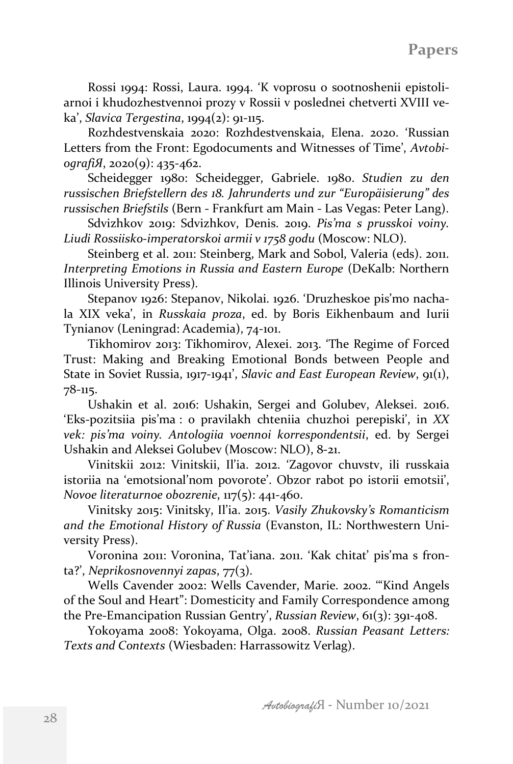Rossi 1994: Rossi, Laura. 1994. 'K voprosu o sootnoshenii epistoliarnoi i khudozhestvennoi prozy v Rossii v poslednei chetverti XVIII ve $ka'$ , *Slavica Tergestina*,  $1994(2)$ : 91-115.

Rozhdestvenskaia 2020: Rozhdestvenskaia, Elena. 2020. 'Russian Letters from the Front: Egodocuments and Witnesses of Time', *AvtobiografiЯ*, 2020(9): 435-462.

Scheidegger 1980: Scheidegger, Gabriele. 1980. Studien zu den *russischen Briefstellern des 18. Jahrunderts und zur "Europäisierung" des russischen Briefstils* (Bern - Frankfurt am Main - Las Vegas: Peter Lang).

Sdvizhkov 2019: Sdvizhkov, Denis. 2019. *Pis'ma s prusskoi voiny*. *Liudi Rossiisko-imperatorskoi armii v 1758 godu* (Moscow: NLO).

Steinberg et al. 2011: Steinberg, Mark and Sobol, Valeria (eds). 2011. *Interpreting Emotions in Russia and Eastern Europe* (DeKalb: Northern Illinois University Press).

Stepanov 1926: Stepanov, Nikolai. 1926. 'Druzheskoe pis'mo nachala XIX veka', in *Russkaia proza*, ed. by Boris Eikhenbaum and Iurii Tynianov (Leningrad: Academia), 74-101.

Tikhomirov 2013: Tikhomirov, Alexei, 2013. 'The Regime of Forced Trust: Making and Breaking Emotional Bonds between People and State in Soviet Russia, 1917-1941', *Slavic and East European Review*, 91(1), 78-115.

Ushakin et al. 2016: Ushakin, Sergei and Golubev, Aleksei. 2016. 'Eks-pozitsiia pis'ma : o pravilakh chteniia chuzhoi perepiski', in *XX* vek: pis'ma voiny. Antologiia voennoi korrespondentsii, ed. by Sergei Ushakin and Aleksei Golubev (Moscow: NLO), 8-21.

Vinitskii 2012: Vinitskii, Il'ia. 2012. 'Zagovor chuvstv, ili russkaia istoriia na 'emotsional'nom povorote'. Obzor rabot po istorii emotsii', *Novoe literaturnoe obozrenie*, 117(5): 441-460.

Vinitsky 2015: Vinitsky, Il'ia. 2015. *Vasily Zhukovsky's Romanticism* and the Emotional History of Russia (Evanston, IL: Northwestern University Press).

Voronina 2011: Voronina, Tat'iana. 2011. 'Kak chitat' pis'ma s fronta?', *Neprikosnovennyi zapas*, 77(3).

Wells Cavender 2002: Wells Cavender, Marie. 2002. "Kind Angels of the Soul and Heart": Domesticity and Family Correspondence among the Pre-Emancipation Russian Gentry', Russian Review, 61(3): 391-408.

Yokoyama 2008: Yokoyama, Olga. 2008. *Russian Peasant Letters:* Texts and Contexts (Wiesbaden: Harrassowitz Verlag).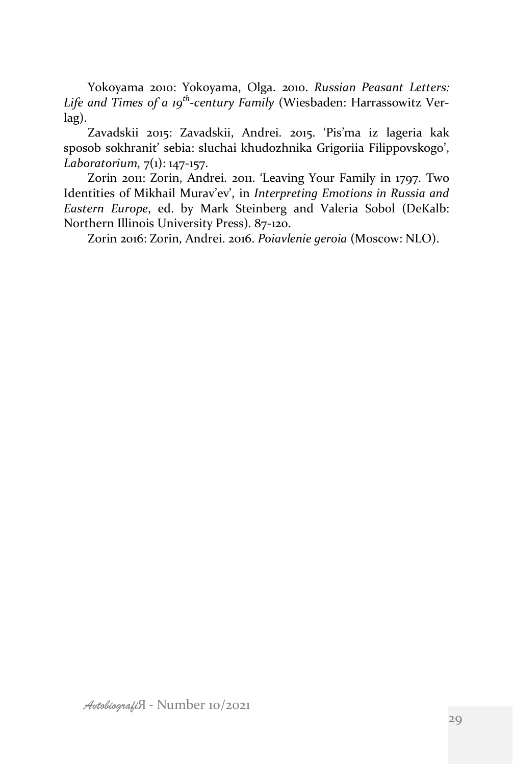Yokoyama 2010: Yokoyama, Olga. 2010. *Russian Peasant Letters:* Life and Times of a 19<sup>th</sup>-century Family (Wiesbaden: Harrassowitz Verlag).

Zavadskii 2015: Zavadskii, Andrei. 2015. 'Pis'ma iz lageria kak sposob sokhranit' sebia: sluchai khudozhnika Grigoriia Filippovskogo', *Laboratorium*,  $7(1)$ : 147-157.

Zorin 2011: Zorin, Andrei. 2011. 'Leaving Your Family in 1797. Two Identities of Mikhail Murav'ev', in *Interpreting Emotions in Russia and Eastern Europe*, ed. by Mark Steinberg and Valeria Sobol (DeKalb: Northern Illinois University Press). 87-120.

Zorin 2016: Zorin, Andrei. 2016. Poiavlenie geroia (Moscow: NLO).